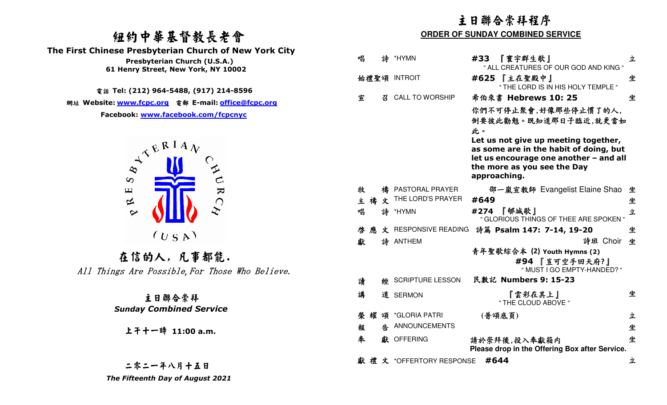# 紐約中華基督教長老會

 **The First Chinese Presbyterian Church of New York City** 



|                                                                                           | 主日聯合崇拜程序<br><b>ORDER OF SUNDAY COMBINED SERVICE</b> |                                        |                                                                                                                                                         |   |
|-------------------------------------------------------------------------------------------|-----------------------------------------------------|----------------------------------------|---------------------------------------------------------------------------------------------------------------------------------------------------------|---|
| 纽约中華基督教長老會                                                                                |                                                     |                                        |                                                                                                                                                         |   |
| <b>First Chinese Presbyterian Church of New York City</b>                                 |                                                     |                                        |                                                                                                                                                         |   |
| Presbyterian Church (U.S.A.)<br>61 Henry Street, New York, NY 10002                       | 唱<br>詩                                              | *HYMN                                  | #33<br>『寰宇群生歌』<br>" ALL CREATURES OF OUR GOD AND KING "                                                                                                 | 立 |
| 電話 Tel: (212) 964-5488, (917) 214-8596                                                    | 始禮聖頌 INTROIT                                        |                                        | #625 【主在聖殿中】<br>" THE LORD IS IN HIS HOLY TEMPLE "                                                                                                      | 坐 |
|                                                                                           | 宣<br>召                                              | <b>CALL TO WORSHIP</b>                 | 希伯來書 Hebrews 10: 25                                                                                                                                     | 坐 |
| 網址 Website: www.fcpc.org 電郵 E-mail: office@fcpc.org<br>Facebook: www.facebook.com/fcpcnyc |                                                     |                                        | 你們不可停止聚會,好像那些停止慣了的人,<br>倒要彼此勸勉。既知道那日子臨近,就更當如<br>此。                                                                                                      |   |
| $A^{\mathcal{R}^{\mathbf{R}^{\mathbf{I}}\mathbf{A}}\mathbf{V}}$                           |                                                     |                                        | Let us not give up meeting together,<br>as some are in the habit of doing, but<br>let us encourage one another - and all<br>the more as you see the Day |   |
| $\infty$                                                                                  |                                                     |                                        | approaching.                                                                                                                                            |   |
| $\sum_{i=1}^{n}$<br>$\mathbf \mu$<br>$\bigcap$<br>$\approx$                               | 牧<br>主禧<br>文                                        | 禱 PASTORAL PRAYER<br>THE LORD'S PRAYER | 邵一嵐宣教師 Evangelist Elaine Shao 坐<br>#649                                                                                                                 | 坐 |
| $\sim$                                                                                    | 唱<br>詩                                              | *HYMN                                  | #274 『郇城歌』<br>" GLORIOUS THINGS OF THEE ARE SPOKEN "                                                                                                    | 立 |
|                                                                                           | 啓<br>應                                              | 文 RESPONSIVE READING                   | 詩篇 Psalm 147: 7-14, 19-20                                                                                                                               | 坐 |
| (U S A)                                                                                   | 獻                                                   | 詩 ANTHEM                               | 詩班 Choir 坐                                                                                                                                              |   |
| 在信的人,凡事都能.<br>All Things Are Possible, For Those Who Believe.                             |                                                     |                                        | 青年聖歌綜合本 (2) Youth Hymns (2)<br>#94 『豈可空手回天府?』<br>" MUST I GO EMPTY-HANDED? "                                                                            |   |
|                                                                                           | 讀<br>經                                              | <b>SCRIPTURE LESSON</b>                | 民數記 Numbers 9: 15-23                                                                                                                                    |   |
| 主日聯合崇拜                                                                                    | 講                                                   | 道 SERMON                               | 『雲彩在其上』<br>" THE CLOUD ABOVE "                                                                                                                          | 坐 |
| <b>Sunday Combined Service</b>                                                            | 頌<br>榮耀                                             | *GLORIA PATRI                          | (普頌底頁)                                                                                                                                                  | 立 |
| 上午十一時 11:00 a.m.                                                                          | 報                                                   | <b>4 ANNOUNCEMENTS</b>                 |                                                                                                                                                         | 坐 |
|                                                                                           | 奉                                                   | 獻 OFFERING                             | 請於崇拜後,投入奉獻箱内<br>Please drop in the Offering Box after Service.                                                                                          | 坐 |
| 二零二一年八月十五日                                                                                | 矡                                                   | 文 *OFFERTORY RESPONSE #644             |                                                                                                                                                         | 立 |
| The Fifteenth Day of August 2021                                                          |                                                     |                                        |                                                                                                                                                         |   |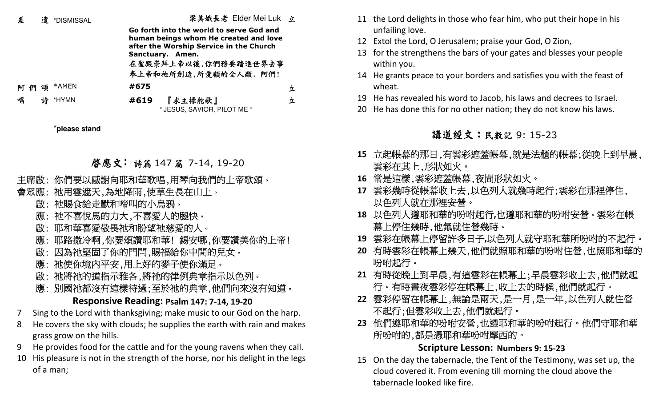| 差 | 遣 | *DISMISSAL |      | 桨美娥長老 Lider Mei Luk 立                                                            |   | 11 the Lord delig |
|---|---|------------|------|----------------------------------------------------------------------------------|---|-------------------|
|   |   |            |      | Go forth into the world to serve God and                                         |   | unfailing love    |
|   |   |            |      | human beings whom He created and love<br>after the Worship Service in the Church |   | 12 Extol the Lord |
|   |   |            |      | Sanctuary. Amen.                                                                 |   | 13 for the streng |
|   |   |            |      | 在聖殿崇拜上帝以後,你們務要踏進世界去事                                                             |   | within you.       |
|   |   |            |      | 奉上帝和祂所創造,所愛顧的全人類. 阿們!                                                            |   | 14 He grants pea  |
|   |   | 阿們頌 *AMEN  | #675 |                                                                                  | 立 | wheat.            |
| 唱 |   | 詩 *HYMN    | #619 | 『求主操舵歌』                                                                          | 立 | 19 He has reveal  |
|   |   |            |      | " JESUS, SAVIOR, PILOT ME "                                                      |   | 20 He has done t  |
|   |   |            |      |                                                                                  |   |                   |

**\*please stand**

### 啓應文: 詩篇 147 篇 7-14, 19-20

遣 \*DISMISSAL 梁美娥長老 Elder Mei Luk 立

- 
- -
	-
	-
- **春應文: 詩篇 147 篇 7-14, 19-20**<br>主席啟:你們要以感謝向耶和華歌唱,用琴向我們的上帝歌頌。<br>會眾應:祂用雲遮天,為地降雨,使草生長在山上。<br>會眾應:祂周食給走獸和啼叫的小烏鴉。<br>厳、祂和華喜愛敬畏祂和盼望祂慈愛的人。<br>應:那路撒冷啊,你要頌讚耶和華!錫安哪,你要讚美你的上帝!<br>應:耶路撒冷啊,你要頌讚耶和華!錫安哪,你要讚美你的上帝!<br>應:耶路撒冷啊,你要頌讚耶和華!錫安哪,你要讚美你的上帝!<br>應:油使你境內平安,
	-
	-
	-
	-

### **Responsive Reading: Psalm 147: 7-14, 19-20**

- 7 Sing to the Lord with thanksgiving; make music to our God on the harp.
- 8 He covers the sky with clouds; he supplies the earth with rain and makes grass grow on the hills.
- 9 He provides food for the cattle and for the young ravens when they call.
- 10 His pleasure is not in the strength of the horse, nor his delight in the legs of a man;
- 11 the Lord delights in those who fear him, who put their hope in his unfailing love.
- d, O Jerusalem; praise your God, O Zion,
- thens the bars of your gates and blesses your people
- Ice to your borders and satisfies you with the feast of
- ed his word to Jacob, his laws and decrees to Israel.
- this for no other nation; they do not know his laws.

# 講道經文:民數記 9: 15-23

- **15** 立起帳幕的那日,有雲彩遮蓋帳幕,就是法櫃的帳幕;從晚上到早晨, 雲彩在其上,形狀如火。
- **16** 常是這樣,雲彩遮蓋帳幕,夜間形狀如火。
- **17** 雲彩幾時從帳幕收上去,以色列人就幾時起行;雲彩在那裡停住, 以色列人就在那裡安營。
- **<sup>18</sup>**以色列人遵耶和華的吩咐起行**,**也遵耶和華的吩咐安營。雲彩在帳 幕上停住幾時,他氟就住營幾時。
- **<sup>19</sup>**雲彩在帳幕上停留許多日子**,**以色列人就守耶和華所吩咐的不起行。
- **20** 有時雲彩在帳幕上幾天,他們就照耶和華的吩咐住營,也照耶和華的 吩咐起行。
- **21** 有時從晚上到早晨,有這雲彩在帳幕上;早晨雲彩收上去,他們就起 行。有時晝夜雲彩停在帳幕上,收上去的時候,他們就起行。
- **22** 雲彩停留在帳幕上,無論是兩天,是一月,是一年,以色列人就住營 不起行;但雲彩收上去,他們就起行。
- **23** 他們遵耶和華的吩咐安營,也遵耶和華的吩咐起行。他們守耶和華 所吩咐的,都是憑耶和華吩咐摩西的。

### **Scripture Lesson: Numbers 9: 15-23**

15 On the day the tabernacle, the Tent of the Testimony, was set up, the cloud covered it. From evening till morning the cloud above the tabernacle looked like fire.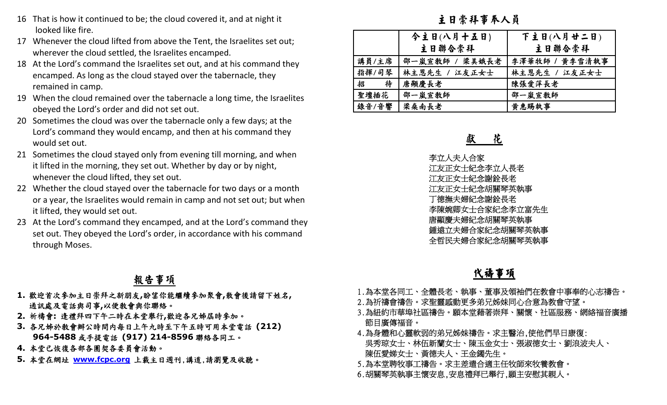- 16 That is how it continued to be; the cloud covered it, and at night it looked like fire.
- 17 Whenever the cloud lifted from above the Tent, the Israelites set out; wherever the cloud settled, the Israelites encamped.
- 18 At the Lord's command the Israelites set out, and at his command they encamped. As long as the cloud stayed over the tabernacle, they remained in camp.
- 19 When the cloud remained over the tabernacle a long time, the Israelites obeyed the Lord's order and did not set out.
- 20 Sometimes the cloud was over the tabernacle only a few days; at the Lord's command they would encamp, and then at his command they would set out.
- 21 Sometimes the cloud stayed only from evening till morning, and when it lifted in the morning, they set out. Whether by day or by night, whenever the cloud lifted, they set out.
- 22 Whether the cloud stayed over the tabernacle for two days or a month or a year, the Israelites would remain in camp and not set out; but when it lifted, they would set out.
- 23 At the Lord's command they encamped, and at the Lord's command they set out. They obeyed the Lord's order, in accordance with his command through Moses.

### 報告事項

- **1.** 歡迎首次參加主日崇拜之新朋友**,**盼望你能繼續參加聚會**,**散會後請留下姓名**,**  通訊處及電話與司事**,**以便教會與你聯絡。
- **2.** 祈禱會**:** 逢禮拜四下午二時在本堂舉行**,**歡迎各兄姊屆時參加。
- **3.** 各兄姊於教會辦公時間內每日上午九時至下午五時可用本堂電話 **(212) 964-5488** 或手提電話 **(917) 214-8596** 聯絡各同工。
- **4.** 本堂已恢復各部各團契各委員會活動。
- **5.** 本堂在網址

| now it continued to be; the cloud covered it, and at night it                                                                                                                                                                                                                                                                                                                                                                                                              | 主日崇拜事奉人員                                                                                                                                                                                                                                                                             |                                                                                |
|----------------------------------------------------------------------------------------------------------------------------------------------------------------------------------------------------------------------------------------------------------------------------------------------------------------------------------------------------------------------------------------------------------------------------------------------------------------------------|--------------------------------------------------------------------------------------------------------------------------------------------------------------------------------------------------------------------------------------------------------------------------------------|--------------------------------------------------------------------------------|
| like fire.<br>ver the cloud lifted from above the Tent, the Israelites set out;<br>er the cloud settled, the Israelites encamped.<br>ord's command the Israelites set out, and at his command they<br>ed. As long as the cloud stayed over the tabernacle, they<br>ed in camp.<br>he cloud remained over the tabernacle a long time, the Israelites                                                                                                                        | 今主日(八月十五日)<br>主日聯合崇拜<br>講員/主席<br>邵一嵐宣教師 /<br>梁美娥長老<br>指揮/司琴<br>林主恩先生 / 江友正女士<br>唐顯慶長老<br>招<br>待<br>聖壇插花<br>邵一嵐宣教師                                                                                                                                                                    | 下主日(八月廿二日)<br>主日聯合崇拜<br>李澤華牧師 / 黄李雪清執事<br>林主恩先生 /<br>江友正女士<br>陳張愛萍長老<br>邵一嵐宣敎師 |
| the Lord's order and did not set out.<br>mes the cloud was over the tabernacle only a few days; at the<br>ommand they would encamp, and then at his command they<br>et out.                                                                                                                                                                                                                                                                                                | 錄音/音響<br>梁桑南長老<br>花<br>獻                                                                                                                                                                                                                                                             | 黄惠賜執事                                                                          |
| mes the cloud stayed only from evening till morning, and when<br>in the morning, they set out. Whether by day or by night,<br>er the cloud lifted, they set out.<br>er the cloud stayed over the tabernacle for two days or a month<br>ir, the Israelites would remain in camp and not set out; but when<br>they would set out.<br>ord's command they encamped, and at the Lord's command they<br>They obeyed the Lord's order, in accordance with his command<br>I Moses. | 李立人夫人合家<br>江友正女士紀念李立人長老<br>江友正女士紀念謝銓長老<br>江友正女士紀念胡關琴英執事<br>丁德撫夫婦紀念謝銓長老<br>李陳婉卿女士合家紀念李立富先生<br>唐顯慶夫婦紀念胡關琴英執事<br>鍾遠立夫婦合家紀念胡關琴英執事<br>全哲民夫婦合家紀念胡關琴英執事                                                                                                                                     |                                                                                |
| 報告事項                                                                                                                                                                                                                                                                                                                                                                                                                                                                       | 代禱事項                                                                                                                                                                                                                                                                                 |                                                                                |
| 参加主日崇拜之新朋友,盼望你能繼續參加聚會,散會後請留下姓名,<br>電話與司事,以便敎會與你聯絡。<br>逢禮拜四下午二時在本堂舉行,歡迎各兄姊屆時參加。<br>敎會辦公時間内每日上午九時至下午五時可用本堂電話(212)<br>188 或手提電話 (917) 214-8596 聯絡各同工。<br>復各部各團契各委員會活動。<br>址 WWW.fcpc.org 上载主日週刊,講道,請瀏覽及收聽。                                                                                                                                                                                                                                                                    | 1.為本堂各同工、全體長老、執事、董事及領袖們在教會中事奉的心志禱告。<br>2.為祈禱會禱告。求聖靈感動更多弟兄姊妹同心合意為教會守望。<br>3.為紐約市華埠社區禱告。願本堂藉著崇拜、關懷、社區服務、網絡福音廣播<br>節目廣傳福音。<br>4.為身體和心靈軟弱的弟兄姊妹禱告。求主醫治,使他們早日康復:<br>吳秀琼女士、林伍新蘭女士、陳玉金女士、張淑德女士、劉浪波夫人、<br>陳伍愛娣女士、黃德夫人、王金鐲先生。<br>5.為本堂聘牧事工禱告。求主差遣合適主任牧師來牧養教會。<br>6.胡關琴英執事主懷安息,安息禮拜已舉行,願主安慰其親人。 |                                                                                |

- 
- 
- 
- 
- 
-